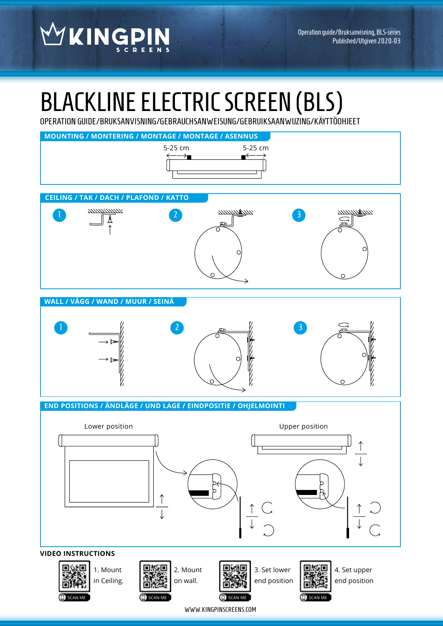WKINGPIN

# BLACKLINE ELECTRIC SCREEN (BLS)

OPERATION GUIDE/BRUKSANVISNING/GEBRAUCHSANWEISUNG/GEBRUIKSAANWIJZING/KÄYTTÖOHJEET



WWW.KINGPINSCREENS.COM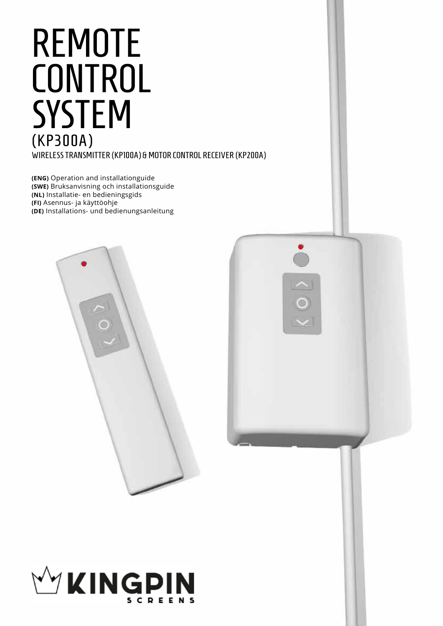# WIRELESS TRANSMITTER (KP100A) & MOTOR CONTROL RECEIVER (KP200A) REMOTE **CONTROL SYSTEM** (KP300A)

**(ENG)** Operation and installationguide **(SWE)** Bruksanvisning och installationsguide **(NL)** Installatie- en bedieningsgids **(FI)** Asennus- ja käyttöohje **(DE)** Installations- und bedienungsanleitung





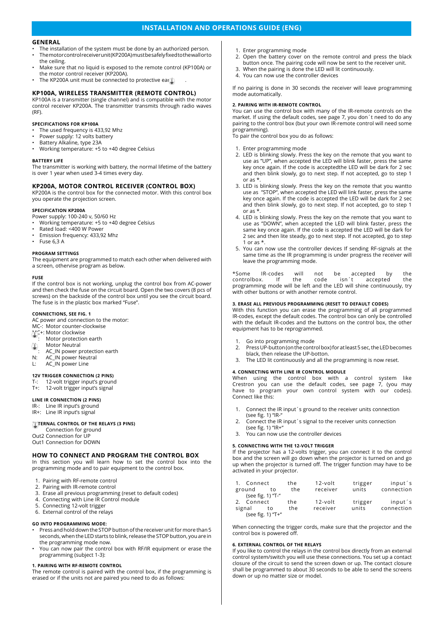# **INSTALLATION AND OPERATIONS GUIDE (ENG)**

## **GENERAL**

- The installation of the system must be done by an authorized person. • The motor control receiver unit (KP200A) must be safely fixed to the wall or to the ceiling.
- Make sure that no liquid is exposed to the remote control (KP100A) or the motor control receiver (KP200A).
- The KP200A unit must be connected to protective earth

# **KP100A, WIRELESS TRANSMITTER (REMOTE CONTROL)**

KP100A is a transmitter (single channel) and is compatible with the motor control receiver KP200A. The transmitter transmits through radio waves (RF).

# **SPECIFICATIONS FOR KP100A**

- The used frequency is 433,92 Mhz
- Power supply: 12 volts battery
- Battery Alkaline, type 23A
- Working temperature: +5 to +40 degree Celsius

#### **BATTERY LIFE**

The transmitter is working with battery, the normal lifetime of the battery is over 1 year when used 3-4 times every day.

# **KP200A, MOTOR CONTROL RECEIVER (CONTROL BOX)**

KP200A is the control box for the connected motor. With this control box you operate the projection screen.

# **SPECIFICATION KP200A**

- Power supply: 100-240 v, 50/60 Hz
- Working temperature: +5 to +40 degree Celsius
- Rated load: <400 W Power
- Emission frequency: 433,92 Mhz
- Fuse 6,3 A

# **PROGRAM SETTINGS**

The equipment are programmed to match each other when delivered with a screen, othervise program as below.

#### **FUSE**

If the control box is not working, unplug the control box from AC-power and then check the fuse on the circuit board. Open the two covers (8 pcs of screws) on the backside of the control box until you see the circuit board. The fuse is in the plastic box marked "Fuse".

#### **CONNECTIONS, SEE FIG. 1**

AC power and connection to the motor:

- MC-: Motor counter-clockwise
- MC+: Motor clockwise
- Motor protection earth
- $Motor Neutral$
- : AC\_IN power protection earth
- N: AC\_IN power Neutral L: AC\_IN power Line
- 

# **12V TRIGGER CONNECTION (2 PINS)**

- T-: 12-volt trigger input's ground<br>T+: 12-volt trigger input's signal 12-volt trigger input's signal
- **LINE IR CONNECTION (2 PINS)**
- IR-: Line IR input's ground
- IR+: Line IR input's signal

# **EXTERNAL CONTROL OF THE RELAYS (3 PINS)**

Connection for ground Out2 Connection for UP Out1 Connection for DOWN

## **HOW TO CONNECT AND PROGRAM THE CONTROL BOX**

In this section you will learn how to set the control box into the programming mode and to pair equipment to the control box.

- 1. Pairing with RF-remote control
- 2. Pairing with IR-remote control
- 3. Erase all previous programming (reset to default codes)
- 4. Connecting with Line IR Control module
- 5. Connecting 12-volt trigger
- 6. External control of the relays

#### **GO INTO PROGRAMMING MODE:**

- Press and hold down the STOP button of the receiver unit for more than 5 seconds, when the LED starts to blink, release the STOP button, you are in the programming mode now.
- You can now pair the control box with RF/IR equipment or erase the programming (subject 1-3):

#### **1. PAIRING WITH RF-REMOTE CONTROL**

The remote control is paired with the control box, if the programming is erased or if the units not are paired you need to do as follows:

- 1. Enter programming mode
- 2. Open the battery cover on the remote control and press the black button once. The pairing code will now be sent to the receiver unit.
- 3. When the pairing is done the LED will lit continuously.
- 4. You can now use the controller devices

If no pairing is done in 30 seconds the receiver will leave programming mode automatically.

#### **2. PAIRING WITH IR-REMOTE CONTROL**

You can use the control box with many of the IR-remote controls on the market. If using the default codes, see page 7, you don´t need to do any pairing to the control box (but your own IR-remote control will need some programming).

To pair the control box you do as follows:

#### 1. Enter programming mode

- 2. LED is blinking slowly. Press the key on the remote that you want to use as "UP", when accepted the LED will blink faster, press the same key once again. If the code is acceptedthe LED will be dark for 2 sec and then blink slowly, go to next step. If not accepted, go to step 1 or as
- 3. LED is blinking slowly. Press the key on the remote that you wantto use as "STOP", when accepted the LED will link faster, press the same key once again. If the code is accepted the LED will be dark for 2 sec and then blink slowly, go to next step. If not accepted, go to step 1 or as \*.
- 4. LED is blinking slowly. Press the key on the remote that you want to use as "DOWN", when accepted the LED will blink faster, press the same key once again. If the code is accepted the LED will be dark for 2 sec and then lite steady, go to next step. If not accepted, go to step 1 or as  $*$ .
- 5. You can now use the controller devices If sending RF-signals at the same time as the IR programming is under progress the receiver will leave the programming mode.

\*Some IR-codes will not be accepted by the controlbox. programming mode will be left and the LED will shine continuously, try with other buttons or with another remote control.

#### **3. ERASE ALL PREVIOUS PROGRAMMING (RESET TO DEFAULT CODES)**

With this function you can erase the programming of all programmed IR-codes, except the default codes. The control box can only be controlled with the default IR-codes and the buttons on the control box, the other equipment has to be reprogrammed.

- Go into programming mode
- 2. Press UP-button (on the control box) for at least 5 sec, the LED becomes black, then release the UP-botton.
- 3. The LED lit continuously and all the programming is now reset.

#### **4. CONNECTING WITH LINE IR CONTROL MODULE**

When using the control box with a control system like Crestron you can use the default codes, see page 7, (you may have to program your own control system with our codes). Connect like this:

- 1. Connect the IR input´s ground to the receiver units connection (see fig. 1) "IR-"
- 2. Connect the IR input´s signal to the receiver units connection (see fig. 1) "IR+"
- 3. You can now use the controller devices

#### **5. CONNECTING WITH THE 12-VOLT TRIGGER**

If the projector has a 12-volts trigger, you can connect it to the control box and the screen will go down when the projector is turned on and go up when the projector is turned off. The trigger function may have to be activated in your projector.

| 1. Connect<br>ground                      | the<br>the<br>to | 12-volt<br>receiver | trigger<br>units | input's<br>connection |
|-------------------------------------------|------------------|---------------------|------------------|-----------------------|
| (see fig. 1) "T-"<br>2. Connect<br>signal | the<br>the<br>to | 12-volt<br>receiver | trigger<br>units | input's<br>connection |
| (see fig. 1) "T+"                         |                  |                     |                  |                       |

When connecting the trigger cords, make sure that the projector and the control box is powered off.

## **6. EXTERNAL CONTROL OF THE RELAYS**

If you like to control the relays in the control box directly from an external control system/switch you will use these connections. You set up a contact closure of the circuit to send the screen down or up. The contact closure shall be programmed to about 30 seconds to be able to send the screens down or up no matter size or model.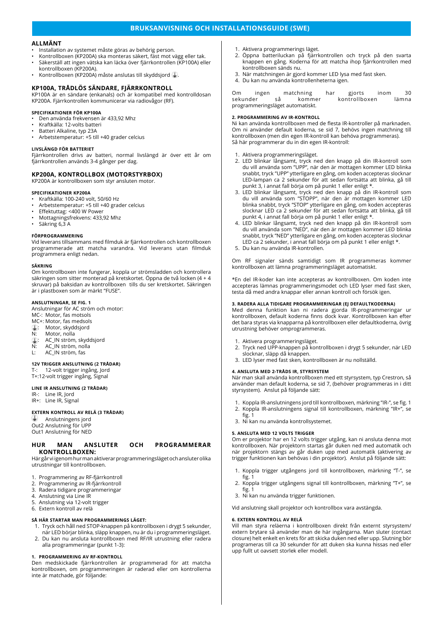# **BRUKSANVISNING OCH INSTALLATIONSGUIDE (SWE)**

# **ALLMÄNT**

- Installation av systemet måste göras av behörig person.
- Kontrollboxen (KP200A) ska monteras säkert, fäst mot vägg eller tak.
- Säkerställ att ingen vätska kan läcka över fjärrkontrollen (KP100A) eller kontrollboxen (KP200A).
- Kontrollboxen (KP200A) måste anslutas till skyddsjord .

# **KP100A, TRÅDLÖS SÄNDARE, FJÄRRKONTROLL**

KP100A är en sändare (enkanals) och är kompatibel med kontrolldosan KP200A. Fjärrkontrollen kommunicerar via radiovågor (RF).

# **SPECIFIKATIONER FÖR KP100A**

- Den använda frekvensen är 433,92 Mhz
- Kraftkälla: 12-volts batteri
- Batteri Alkaline, typ 23A
- Arbetstemperatur: +5 till +40 grader celcius

# **LIVSLÄNGD FÖR BATTERIET**

Fjärrkontrollen drivs av batteri, normal livslängd är över ett år om fjärrkontrollen används 3-4 gånger per dag.

# **KP200A, KONTROLLBOX (MOTORSTYRBOX)**

KP200A är kontrollboxen som styr ansluten motor.

# **SPECIFIKATIONER KP200A**

- Kraftkälla: 100-240 volt, 50/60 Hz • Arbetstemperatur: +5 till +40 grader celcius
- Effektuttag: <400 W Power
- Mottagningsfrekvens: 433,92 Mhz
- Säkring 6,3 A

# **FÖRPROGRAMMERING**

Vid leverans tillsammans med filmduk är fjärrkontrollen och kontrollboxen programmerade att matcha varandra. Vid leverans utan filmduk programmera enligt nedan.

#### **SÄKRING**

Om kontrollboxen inte fungerar, koppla ur strömsladden och kontrollera säkringen som sitter monterad på kretskortet. Öppna de två locken (4 + 4 skruvar) på baksidan av kontrollboxen tills du ser kretskortet. Säkringen är i plastboxen som är märkt "FUSE".

#### **ANSLUTNINGAR, SE FIG. 1**

Anslutningar för AC ström och motor:

- MC-: Motor, fas motsols
- MC+: Motor, fas medsols
- : Motor, skyddsjord<br>N: Motor, nolla
- N: Motor, nolla<br>**4.**: AC\_IN ström
- : AC\_IN ström, skyddsjord<br>N: AC\_IN ström, nolla
- $N: AC IN ström, nolla$ <br>L: AC IN ström. fas
- AC\_IN ström, fas

# **12V TRIGGER ANSLUTNING (2 TRÅDAR)**

T-: 12-volt trigger ingång, Jord

# T+:12-volt trigger ingång, Signal

# **LINE IR ANSLUTNING (2 TRÅDAR)**

IR-: Line IR, Jord IR+: Line IR, Signal

#### **EXTERN KONTROLL AV RELÄ (3 TRÅDAR)**

 Anslutningens jord Out2 Anslutning för UPP Out1 Anslutning för NED

### **HUR MAN ANSLUTER OCH PROGRAMMERAR KONTROLLBOXEN:**

Här går vi igenom hur man aktiverar programmeringsläget och ansluter olika utrustningar till kontrollboxen.

- 1. Programmering av RF-fjärrkontroll
- 2. Programmering av IR-fjärrkontroll
- 3. Radera tidigare programmeringar
- 4. Anslutning via Line IR
- 5. Anslutning via 12-volt trigger 6. Extern kontroll av relä

# **SÅ HÄR STARTAR MAN PROGRAMMERINGS LÄGET:**

- 1. Tryck och håll ned STOP-knappen på kontrollboxen i drygt 5 sekunder, när LED börjar blinka, släpp knappen, nu är du i programmeringsläget.
- 2. Du kan nu ansluta kontrollboxen med RF/IR utrustning eller radera alla programmeringar (punkt 1-3):

# **1. PROGRAMMERING AV RF-KONTROLL**

Den medskickade fjärrkontrollen är programmerad för att matcha kontrollboxen, om programmeringen är raderad eller om kontrollerna inte är matchade, gör följande:

- 1. Aktivera programmerings läget.
- 2. Öppna batteriluckan på fjärrkontrollen och tryck på den svarta knappen en gång. Koderna för att matcha ihop fjärrkontrollen med kontrollboxen sänds nu.
- 3. När matchningen är gjord kommer LED lysa med fast sken.
- 4. Du kan nu använda kontrollenheterna igen.

Om ingen matchning har gjorts inom 30<br>sekunder så kommer kontrollboxen lämna sekunder så kommer kontrollboxen lämna programmeringsläget automatiskt.

# **2. PROGRAMMERING AV IR-KONTROLL**

Ni kan använda kontrollboxen med de flesta IR-kontroller på marknaden. Om ni använder default koderna, se sid 7, behövs ingen matchning till kontrollboxen (men din egen IR-kontroll kan behöva programmeras). Så här programmerar du in din egen IR-kontroll:

1. Aktivera programmeringsläget.

- 2. LED blinkar långsamt, tryck ned den knapp på din IR-kontroll som du vill använda som "UPP", när den är mottagen kommer LED blinka snabbt, tryck "UPP" ytterligare en gång, om koden accepteras slocknar LED-lampan ca 2 sekunder för att sedan fortsätta att blinka, gå till punkt 3, i annat fall börja om på punkt 1 eller enligt \*.
- 3. LED blinkar långsamt, tryck ned den knapp på din IR-kontroll som du vill använda som "STOPP", när den är mottagen kommer LED blinka snabbt, tryck "STOP" ytterligare en gång, om koden accepteras slocknar LED ca 2 sekunder för att sedan fortsätta att blinka, gå till punkt 4, i annat fall börja om på punkt 1 eller enligt \*
- 4. LED blinkar långsamt, tryck ned den knapp på din IR-kontroll som du vill använda som "NED", när den är mottagen kommer LED blinka snabbt, tryck "NED" ytterligare en gång, om koden accepteras slocknar LED ca 2 sekunder, i annat fall börja om på punkt 1 eller enligt \*.
- 5. Du kan nu använda IR-kontrollen.

Om RF signaler sänds samtidigt som IR programmeras kommer kontrollboxen att lämna programmeringsläget automatiskt.

\*En del IR-koder kan inte accepteras av kontrollboxen. Om koden inte accepteras lämnas programmeringsmodet och LED lyser med fast sken, testa då med andra knappar eller annan kontroll och försök igen.

# **3. RADERA ALLA TIDIGARE PROGRAMMERINGAR (EJ DEFAULTKODERNA)**

Med denna funktion kan ni radera gjorda IR-programmeringar ur kontrollboxen, default koderna finns dock kvar. Kontrollboxen kan efter det bara styras via knapparna på kontrollboxen eller defaultkoderna, övrig utrustning behöver omprogrammeras.

- 1. Aktivera programmeringsläget.
- 2. Tryck ned UPP-knappen på kontrollboxen i drygt 5 sekunder, när LED slocknar, släpp då knappen.
- 3. LED lyser med fast sken, kontrollboxen är nu nollställd.

## **4. ANSLUTA MED 2-TRÅDS IR, STYRSYSTEM**

När man skall använda kontrollboxen med ett styrsystem, typ Crestron, så använder man default koderna, se sid 7, (behöver programmeras in i ditt styrsystem). Anslut på följande sätt:

- 1. Koppla IR-anslutningens jord till kontrollboxen, märkning "IR-", se fig. 1 2. Koppla IR-anslutningens signal till kontrollboxen, märkning "IR+", se
- fig. 1
- 3. Ni kan nu använda kontrollsystemet.

## **5. ANSLUTA MED 12 VOLTS TRIGGER**

Om er projektor har en 12 volts trigger utgång, kan ni ansluta denna mot kontrollboxen. När projektorn startas går duken ned med automatik och när projektorn stängs av går duken upp med automatik (aktivering av trigger funktionen kan behövas i din projektor). Anslut på följande sätt:

- 1. Koppla trigger utgångens jord till kontrollboxen, märkning "T-", se fig. 1
- 2. Koppla trigger utgångens signal till kontrollboxen, märkning "T+", se fig. 1
- 3. Ni kan nu använda trigger funktionen.

Vid anslutning skall projektor och kontrollbox vara avstängda.

## **6. EXTERN KONTROLL AV RELÄ**

Vill man styra reläerna i kontrollboxen direkt från externt styrsystem/ extern brytare så använder man de här ingångarna. Man sluter (contact closure) helt enkelt en krets för att skicka duken ned eller upp. Slutning bör programeras till ca 30 sekunder för att duken ska kunna hissas ned eller upp fullt ut oavsett storlek eller modell.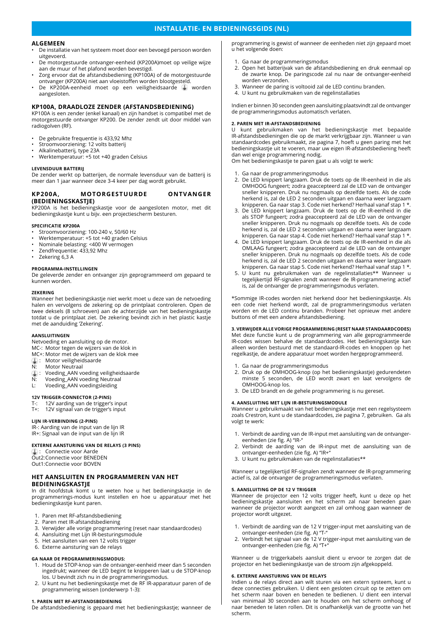# **INSTALLATIE- EN BEDIENINGSGIDS (NL)**

# **ALGEMEEN**

- De installatie van het systeem moet door een bevoegd persoon worden uitgevoerd.
- De motorgestuurde ontvanger-eenheid (KP200A)moet op veilige wijze aan de muur of het plafond worden bevestigd.
- Zorg ervoor dat de afstandsbediening (KP100A) of de motorgestuurde ontvanger (KP200A) niet aan vloeistoffen worden blootgesteld.
- De KP200A-eenheid moet op een veiligheidsaarde worden aangesloten.

# **KP100A, DRAADLOZE ZENDER (AFSTANDSBEDIENING)**

KP100A is een zender (enkel kanaal) en zijn handset is compatibel met de motorgestuurde ontvanger KP200. De zender zendt uit door middel van radiogolven (RF).

- De gebruikte frequentie is 433,92 Mhz
- Stroomvoorziening: 12 volts batterij
- Alkalinebatterij, type 23A
- Werktemperatuur: +5 tot +40 graden Celsius

# **LEVENSDUUR BATTERIJ**

De zender werkt op batterijen, de normale levensduur van de batterij is meer dan 1 jaar wanneer deze 3-4 keer per dag wordt gebruikt.

## **KP200A, MOTORGESTUURDE ONTVANGER (BEDIENINGSKASTJE)**

KP200A is het bedieningskastje voor de aangesloten motor, met dit bedieningskastje kunt u bijv. een projectiescherm besturen.

#### **SPECIFICATIE KP200A**

- Stroomvoorziening: 100-240 v, 50/60 Hz
- Werktemperatuur: +5 tot +40 graden Celsius
- Nominale belasting: <400 W vermogen
- Zendfrequentie: 433,92 Mhz
- Zekering 6,3 A

#### **PROGRAMMA-INSTELLINGEN**

De geleverde zender en ontvanger zijn geprogrammeerd om gepaard te kunnen worden.

#### **ZEKERING**

Wanneer het bedieningskastje niet werkt moet u deze van de netvoeding halen en vervolgens de zekering op de printplaat controleren. Open de twee deksels (8 schroeven) aan de achterzijde van het bedieningskastje totdat u de printplaat ziet. De zekering bevindt zich in het plastic kastje met de aanduiding 'Zekering'.

#### **AANSLUITINGEN**

Netvoeding en aansluiting op de motor.

- MC-: Motor tegen de wijzers van de klok in
- MC+: Motor met de wijzers van de klok mee
- : Motor veiligheidsaarde<br>N: Motor Neutraal Motor Neutraal
- 
- **1**: Voeding\_AAN voeding veiligheidsaarde N: Voeding\_AAN voeding Neutraal
- L: Voeding\_AAN voedingsleiding
- 

#### **12V TRIGGER-CONNECTOR (2-PINS)**

- T-: 12V aarding van de trigger's input
- T+: 12V signaal van de trigger's input

# **LIJN IR-VERBINDING (2-PINS)**

IR-: Aarding van de input van de lijn IR IR+: Signaal van de input van de lijn IR

#### **EXTERNE AANSTURING VAN DE RELAYS (3 PINS)**

: Connectie voor Aarde Out2:Connectie voor BENEDEN

Out1:Connectie voor BOVEN

## **HET AANSLUITEN EN PROGRAMMEREN VAN HET BEDIENINGSKASTJE**

In dit hoofdstuk komt u te weten hoe u het bedieningskastje in de programmerings-modus kunt instellen en hoe u apparatuur met het bedieningskastje kunt paren.

- 1. Paren met RF-afstandsbediening
- 2. Paren met IR-afstandsbediening<br>3. Verwijder alle vorige programme
- 3. Verwijder alle vorige programmering (reset naar standaardcodes)
- 4. Aansluiting met Lijn IR-besturingsmodule
- 5. Het aansluiten van een 12 volts trigger

# 6. Externe aansturing van de relays

#### **GA NAAR DE PROGRAMMERINGSMODUS:**

- 1. Houd de STOP-knop van de ontvanger-eenheid meer dan 5 seconden ingedrukt; wanneer de LED begint te knipperen laat u de STOP-knop los. U bevindt zich nu in de programmeringsmodus.
- 2. U kunt nu het bedieningskastje met de RF IR-apparatuur paren of de programmering wissen (onderwerp 1-3):

# **1. PAREN MET RF-AFSTANDSBEDIENING**

De afstandsbediening is gepaard met het bedieningskastje; wanneer de

programmering is gewist of wanneer de eenheden niet zijn gepaard moet u het volgende doen:

- 1. Ga naar de programmeringsmodus
- 2. Open het batterijvak van de afstandsbediening en druk eenmaal op de zwarte knop. De paringscode zal nu naar de ontvanger-eenheid worden verzonden.
- 3. Wanneer de paring is voltooid zal de LED continu branden.
- 4. U kunt nu gebruikmaken van de regelinstallaties

Indien er binnen 30 seconden geen aansluiting plaatsvindt zal de ontvanger de programmeringsmodus automatisch verlaten.

# **2. PAREN MET IR-AFSTANDSBEDIENING**

U kunt gebruikmaken van het bedieningskastje met bepaalde IR-afstandsbedieningen die op de markt verkrijgbaar zijn. Wanneer u van standaardcodes gebruikmaakt, zie pagina 7, hoeft u geen paring met het bedieningskastje uit te voeren, maar uw eigen IR-afstandsbediening heeft dan wel enige programmering nodig.

Om het bedieningskastje te paren gaat u als volgt te werk:

- 1. Ga naar de programmeringsmodus
- 2. De LED knippert langzaam. Druk de toets op de IR-eenheid in die als OMHOOG fungeert; zodra geaccepteerd zal de LED van de ontvanger sneller knipperen. Druk nu nogmaals op dezelfde toets. Als de code herkend is, zal de LED 2 seconden uitgaan en daarna weer langzaam knipperen. Ga naar stap 3. Code niet herkend? Herhaal vanaf stap 1 \*.
- 3. De LED knippert langzaam. Druk de toets op de IR-eenheid in die als STOP fungeert; zodra geaccepteerd zal de LED van de ontvanger sneller knipperen. Druk nu nogmaals op dezelfde toets. Als de code herkend is, zal de LED 2 seconden uitgaan en daarna weer langzaam knipperen. Ga naar stap 4. Code niet herkend? Herhaal vanaf stap 1 \*.
- 4. De LED knippert langzaam. Druk de toets op de IR-eenheid in die als OMLAAG fungeert; zodra geaccepteerd zal de LED van de ontvanger sneller knipperen. Druk nu nogmaals op dezelfde toets. Als de code herkend is, zal de LED 2 seconden uitgaan en daarna weer langzaam knipperen. Ga naar stap 5. Code niet herkend? Herhaal vanaf stap 1 \*.
- 5. U kunt nu gebruikmaken van de regelinstallaties\*\* Wanneer u tegelijkertijd RF-signalen zendt wanneer de IR-programmering actief is, zal de ontvanger de programmeringsmodus verlaten.

\*Sommige IR-codes worden niet herkend door het bedieningskastje. Als een code niet herkend wordt, zal de programmeringsmodus verlaten worden en de LED continu branden. Probeer het opnieuw met andere buttons of met een andere afstandsbediening.

# **3. VERWIJDER ALLE VORIGE PROGRAMMERING (RESET NAAR STANDAARDCODES)**

Met deze functie kunt u de programmering van alle geprogrammeerde IR-codes wissen behalve de standaardcodes. Het bedieningskastje kan alleen worden bestuurd met de standaard-IR-codes en knoppen op het regelkastje, de andere apparatuur moet worden hergeprogrammeerd.

- 1. Ga naar de programmeringsmodus
- 2. Druk op de OMHOOG-knop (op het bedieningskastje) gedurendeten minste 5 seconden, de LED wordt zwart en laat vervolgens de OMHOOG-knop los.
- 3. De LED brandt en de gehele programmering is nu gereset.

# **4. AANSLUITING MET LIJN IR-BESTURINGSMODULE**

Wanneer u gebruikmaakt van het bedieningskastje met een regelsysteem zoals Crestron, kunt u de standaardcodes, zie pagina 7, gebruiken. Ga als volgt te werk:

- 1. Verbindt de aarding van de IR-input met aansluiting van de ontvangereenheden (zie fig. A) "IR-"
- 2. Verbindt de aarding van de IR-input met de aansluiting van de ontvanger-eenheden (zie fig. A) "IR+"
- 3. U kunt nu gebruikmaken van de regelinstallaties\*\*

Wanneer u tegelijkertijd RF-signalen zendt wanneer de IR-programmering actief is, zal de ontvanger de programmeringsmodus verlaten.

#### **5. AANSLUITING OP DE 12 V TRIGGER**

Wanneer de projector een 12 volts trigger heeft, kunt u deze op het bedieningskastje aansluiten en het scherm zal naar beneden gaan wanneer de projector wordt aangezet en zal omhoog gaan wanneer de projector wordt uitgezet.

- 1. Verbindt de aarding van de 12 V trigger-input met aansluiting van de ontvanger-eenheden (zie fig. A) "T-"
- 2. Verbindt het signaal van de 12 V trigger-input met aansluiting van de ontvanger-eenheden (zie fig. A) "T+"

Wanneer u de triggerkabels aansluit dient u ervoor te zorgen dat de projector en het bedieningskastje van de stroom zijn afgekoppeld.

#### **6. EXTERNE AANSTURING VAN DE RELAYS**

Indien u de relays direct aan wilt sturen via een extern systeem, kunt u deze connecties gebruiken. U dient een gesloten circuit op te zetten om het scherm naar boven en beneden te bedienen. U dient een interval van minimaal 30 seconden aan te houden om het scherm omhoog of naar beneden te laten rollen. Dit is onafhankelijk van de grootte van het scherm.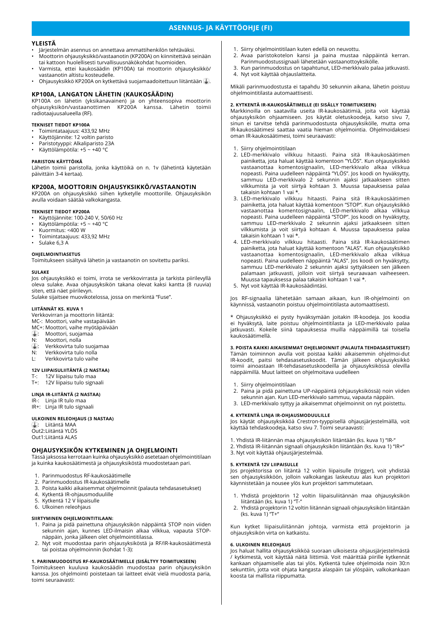# **ASENNUS- JA KÄYTTÖOHJE (FI)**

# **YLEISTÄ**

- Järjestelmän asennus on annettava ammattihenkilön tehtäväksi.
- Moottorin ohjausyksikkö/vastaanotin (KP200A) on kiinnitettävä seinään tai kattoon huolellisesti turvallisuusnäkökohdat huomioiden.
- Varmista, ettei kaukosäädin (KP100A) tai moottorin ohjausyksikkö/ vastaanotin altistu kosteudelle.
- Ohjausyksikkö KP200A on kytkettävä suojamaadoitettuun liitäntään .

# **KP100A, LANGATON LÄHETIN (KAUKOSÄÄDIN)**

KP100A on lähetin (yksikanavainen) ja on yhteensopiva moottorin ohjausyksikön/vastaanottimen KP200A kanssa. Lähetin toimii radiotaajuusalueella (RF).

# **TEKNISET TIEDOT KP100A**

- Toimintataajuus: 433,92 MHz
- Käyttöjännite: 12 voltin paristo
- Paristotyyppi: Alkaliparisto 23A • Käyttölämpötila: +5 ~ +40 °C
- 

# **PARISTON KÄYTTÖIKÄ**

Lähetin toimii paristolla, jonka käyttöikä on n. 1v (lähetintä käytetään päivittäin 3-4 kertaa).

#### **KP200A, MOOTTORIN OHJAUSYKSIKKÖ/VASTAANOTIN**

KP200A on ohjausyksikkö siihen kytketylle moottorille. Ohjausyksikön avulla voidaan säätää valkokangasta.

## **TEKNISET TIEDOT KP200A**

• Käyttöjännite: 100-240 V, 50/60 Hz

- Käyttölämpötila: +5 ~ +40 °C
- Kuormitus: <400 W
- Toimintataajuus: 433,92 MHz
- Sulake 6,3 A

#### **OHJELMOINTIASETUS**

Toimitukseen sisältyvä lähetin ja vastaanotin on sovitettu pariksi.

#### **SULAKE**

Jos ohjausyksikkö ei toimi, irrota se verkkovirrasta ja tarkista piirilevyllä oleva sulake. Avaa ohjausyksikön takana olevat kaksi kantta (8 ruuvia) siten, että näet piirilevyn.

Sulake sijaitsee muovikotelossa, jossa on merkintä "Fuse".

#### **LIITÄNNÄT KS. KUVA 1**

Verkkovirran ja moottorin liitäntä:

- MC-: Moottori, vaihe vastapäivään
- MC+: Moottori, vaihe myötäpäivään : Moottori, suojamaa
- 
- N: Moottori, nolla<br>4. Verkkovirta tul
- $\overline{1}$ : Verkkovirta tulo suojamaa<br>N: Verkkovirta tulo nolla Verkkovirta tulo nolla
- L: Verkkovirta tulo vaihe

# **12V LIIPAISULIITÄNTÄ (2 NASTAA)**

- T-: 12V liipaisu tulo maa
- T+: 12V liipaisu tulo signaali

# **LINJA IR-LIITÄNTÄ (2 NASTAA)**

- IR-: Linja IR tulo maa
- IR+: Linja IR tulo signaali

#### **ULKOINEN RELEOHJAUS (3 NASTAA)**

: Liitäntä MAA Out2:Liitäntä YLÖS

Out1:Liitäntä ALAS

# **OHJAUSYKSIKÖN KYTKEMINEN JA OHJELMOINTI**

Tässä jaksossa kerrotaan kuinka ohjausyksikkö asetetaan ohjelmointitilaan ja kuinka kaukosäätimestä ja ohjausyksiköstä muodostetaan pari.

- 1. Parinmuodostus RF-kaukosäätimelle
- 2. Parinmuodostus IR-kaukosäätimelle
- 3. Poista kaikki aikaisemmat ohjelmoinnit (palauta tehdasasetukset)
- 4. Kytkentä IR-ohjausmoduulille<br>5. Kytkentä 12 V liipaisulle
- 5. Kytkentä 12 V liipaisulle
- 6. Ulkoinen releohjaus

#### **SIIRTYMINEN OHJELMOINTITILAAN:**

- 1. Paina ja pidä painettuna ohjausyksikön näppäintä STOP noin viiden sekunnin ajan, kunnes LED-ilmaisin alkaa vilkkua, vapauta STOPnäppäin, jonka jälkeen olet ohjelmointitilassa.
- 2. Nyt voit muodostaa parin ohjausyksiköstä ja RF/IR-kaukosäätimestä tai poistaa ohjelmoinnin (kohdat 1-3):

#### **1. PARINMUODOSTUS RF-KAUKOSÄÄTIMELLE (SISÄLTYY TOIMITUKSEEN)**

Toimitukseen kuuluva kaukosäädin muodostaa parin ohjausyksikön kanssa. Jos ohjelmointi poistetaan tai laitteet eivät vielä muodosta paria, toimi seuraavasti:

- 1. Siirry ohjelmointitilaan kuten edellä on neuvottu.
- 2. Avaa paristokotelon kansi ja paina mustaa näppäintä kerran. Parinmuodostussignaali lähetetään vastaanottoyksikölle.
- 3. Kun parinmuodostus on tapahtunut, LED-merkkivalo palaa jatkuvasti. 4. Nyt voit käyttää ohjauslaitteita.

Mikäli parinmuodostusta ei tapahdu 30 sekunnin aikana, lähetin poistuu ohjelmointitilasta automaattisesti.

# **2. KYTKENTÄ IR-KAUKOSÄÄTIMELLE (EI SISÄLLY TOIMITUKSEEN)**

Markkinoilla on saatavilla useita IR-kaukosäätimiä, joita voit käyttää ohjausyksikön ohjaamiseen. Jos käytät oletuskoodeja, katso sivu 7, sinun ei tarvitse tehdä parinmuodostusta ohjausyksikölle, mutta oma IR-kaukosäätimesi saattaa vaatia hieman ohjelmointia. Ohjelmoidaksesi oman IR-kaukosäätimesi, toimi seuraavasti:

#### 1. Siirry ohjelmointitilaan

- 2. LED-merkkivalo vilkkuu hitaasti. Paina sitä IR-kaukosäätimen painiketta, jota haluat käyttää komentoon "YLÖS". Kun ohjausyksikkö vastaanottaa komentosignaalin, LED-merkkivalo alkaa vilkkua nopeasti. Paina uudelleen näppäintä "YLÖS". Jos koodi on hyväksytty, sammuu LED-merkkivalo 2 sekunnin ajaksi jatkaakseen sitten vilkkumista ja voit siirtyä kohtaan 3. Muussa tapauksessa palaa takaisin kohtaan 1 vai \*.
- 3. LED-merkkivalo vilkkuu hitaasti. Paina sitä IR-kaukosäätimen painiketta, jota haluat käyttää komentoon "STOP". Kun ohjausyksikkö vastaanottaa komentosignaalin, LED-merkkivalo alkaa vilkkua nopeasti. Paina uudelleen näppäintä "STOP". Jos koodi on hyväksytty, sammuu LED-merkkivalo 2 sekunnin ajaksi jatkaakseen sitten vilkkumista ja voit siirtyä kohtaan 4. Muussa tapauksessa palaa takaisin kohtaan 1 vai \*.
- 4. LED-merkkivalo vilkkuu hitaasti. Paina sitä IR-kaukosäätimen painiketta, jota haluat käyttää komentoon "ALAS". Kun ohjausyksikkö vastaanottaa komentosignaalin, LED-merkkivalo alkaa vilkkua nopeasti. Paina uudelleen näppäintä "ALAS". Jos koodi on hyväksytty, sammuu LED-merkkivalo 2 sekunnin ajaksi syttyäkseen sen jälkeen palamaan jatkuvasti, jolloin voit siirtyä seuraavaan vaiheeseen. Muussa tapauksessa palaa takaisin kohtaan 1 vai \*.
- 5. Nyt voit käyttää IR-kaukosäädintäsi.

Jos RF-signaalia lähetetään samaan aikaan, kun IR-ohjelmointi on käynnissä, vastaanotin poistuu ohjelmointitilasta automaattisesti.

Ohjausyksikkö ei pysty hyväksymään joitakin IR-koodeja. Jos koodia ei hyväksytä, laite poistuu ohjelmointitilasta ja LED-merkkivalo palaa jatkuvasti. Kokeile siinä tapauksessa muilla näppäimillä tai toisella kaukosäätimellä.

**3. POISTA KAIKKI AIKAISEMMAT OHJELMOINNIT (PALAUTA TEHDASASETUKSET)** Tämän toiminnon avulla voit poistaa kaikki aikaisemmin ohjelmoi-dut IR-koodit, paitsi tehdasasetuskoodit. Tämän jälkeen ohjausyksikkö toimii ainoastaan IR-tehdasasetuskoodeilla ja ohjausyksikössä olevilla näppäimillä. Muut laitteet on ohjelmoitava uudelleen

- 1. Siirry ohjelmointitilaan
- 2. Paina ja pidä painettuna UP-näppäintä (ohjausyksikössä) noin viiden sekunnin ajan. Kun LED-merkkivalo sammuu, vapauta näppäin.
- 3. LED-merkkivalo syttyy ja aikaisemmat ohjelmoinnit on nyt poistettu.

#### **4. KYTKENTÄ LINJA IR-OHJAUSMODUULILLE**

Jos käytät ohjausyksikköä Crestron-tyyppisellä ohjausjärjestelmällä, voit käyttää tehdaskoodeja, katso sivu 7. Toimi seuraavasti:

- 1. Yhdistä IR-liitännän maa ohjausyksikön liitäntään (ks. kuva 1) "IR-"
- 2. Yhdistä IR-liitännän signaali ohjausyksikön liitäntään (ks. kuva 1) "IR+"
- 3. Nyt voit käyttää ohjausjärjestelmää.

#### **5. KYTKENTÄ 12V LIIPAISULLE**

Jos projektorissa on liitäntä 12 voltin liipaisulle (trigger), voit yhdistää sen ohjausyksikköön, jolloin valkokangas laskeutuu alas kun projektori käynnistetään ja nousee ylös kun projektori sammutetaan.

- 1. Yhdistä projektorin 12 voltin liipaisuliitännän maa ohjausyksikön liitäntään (ks. kuva 1) "T-"
- 2. Yhdistä projektorin 12 voltin liitännän signaali ohjausyksikön liitäntään (ks. kuva 1) "T+"

Kun kytket liipaisuliitännän johtoja, varmista että projektorin ja ohjausyksikön virta on katkaistu.

#### **6. ULKOINEN RELEOHJAUS**

Jos haluat hallita ohjausyksikköä suoraan ulkoisesta ohjausjärjestelmästä / kytkimestä, voit käyttää näitä liittimiä. Voit määrittää piirille kytkennät kankaan ohjaamiselle alas tai ylös. Kytkentä tulee ohjelmoida noin 30:n sekunttiin, jotta voit ohjata kangasta alaspäin tai ylöspäin, valkokankaan koosta tai mallista riippumatta.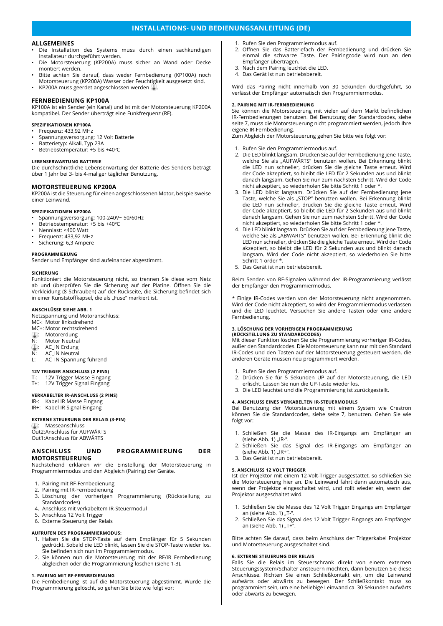# **INSTALLATIONS- UND BEDIENUNGSANLEITUNG (DE)**

# **ALLGEMEINES**

- Die Installation des Systems muss durch einen sachkundigen Installateur durchgeführt werden.
- Die Motorsteuerung (KP200A) muss sicher an Wand oder Decke montiert werden.
- Bitte achten Sie darauf, dass weder Fernbedienung (KP100A) noch Motorsteuerung (KP200A) Wasser oder Feuchtigkeit ausgesetzt sind.
- KP200A muss geerdet angeschlossen werden .

#### **FERNBEDIENUNG KP100A**

KP100A ist ein Sender (ein Kanal) und ist mit der Motorsteuerung KP200A kompatibel. Der Sender überträgt eine Funkfrequenz (RF).

# **SPEZIFIKATIONEN KP100A**

- Frequenz: 433,92 MHz
- Spannungsversorgung: 12 Volt Batterie
- Batterietyp: Alkali, Typ 23A
- Betriebstemperatur: +5 bis +40ºC

# **LEBENSERWARTUNG BATTERIE**

Die durchschnittliche Lebenserwartung der Batterie des Senders beträgt über 1 Jahr bei 3- bis 4-maliger täglicher Benutzung.

# **MOTORSTEUERUNG KP200A**

KP200A ist die Steuerung für einen angeschlossenen Motor, beispielsweise einer Leinwand.

#### **SPEZIFIKATIONEN KP200A**

- Spannungsversorgung: 100-240V~ 50/60Hz
- Betriebstemperatur: +5 bis +40ºC
- Nennlast: <400 Watt
- Frequenz: 433,92 MHz
- Sicherung: 6,3 Ampere

#### **PROGRAMMIERUNG**

Sender und Empfänger sind aufeinander abgestimmt.

#### **SICHERUNG**

Funktioniert die Motorsteuerung nicht, so trennen Sie diese vom Netz ab und überprüfen Sie die Sicherung auf der Platine. Öffnen Sie die Verkleidung (8 Schrauben) auf der Rückseite, die Sicherung befindet sich in einer Kunststoffkapsel, die als "Fuse" markiert ist.

#### **ANSCHLÜSSE SIEHE ABB. 1**

Netzspannung und Motoranschluss:

- MC-: Motor linksdrehend
- MC+: Motor rechtsdrehend
- **I**: Motorerdung<br>N: Motor Neutra Motor Neutral
- 
- : AC\_IN Erdung<br>N: AC\_IN Neutral AC\_IN Neutral
- L: AC\_IN Spannung führend

# **12V TRIGGER ANSCHLUSS (2 PINS)**

- T-: 12V Trigger Masse Eingang
- T+: 12V Trigger Signal Eingang

## **VERKABELTER IR-ANSCHLUSS (2 PINS)**

- IR-: Kabel IR Masse Eingang
- IR+: Kabel IR Signal Eingang

#### **EXTERNE STEUERUNG DER RELAIS (3-PIN)**

: Masseanschluss

Out2:Anschluss für AUFWÄRTS Out1:Anschluss für ABWÄRTS

# **ANSCHLUSS UND PROGRAMMIERUNG DER MOTORSTEUERUNG**

Nachstehend erklären wir die Einstellung der Motorsteuerung in Programmiermodus und den Abgleich (Pairing) der Geräte.

- 1. Pairing mit RF-Fernbedienung
- 2. Pairing mit IR-Fernbedienung<br>3. Löschung der vorherigen
- Löschung der vorherigen Programmierung (Rückstellung zu Standardcodes)
- 4. Anschluss mit verkabeltem IR-Steuermodul
- 5. Anschluss 12 Volt Trigger<br>6. Externe Steuerung der Re
- Externe Steuerung der Relais

# **AUFRUFEN DES PROGRAMMIERMODUS:**

- 1. Halten Sie die STOP-Taste auf dem Empfänger für 5 Sekunden gedrückt. Sobald die LED blinkt, lassen Sie die STOP-Taste wieder los. Sie befinden sich nun im Programmiermodus.
- 2. Sie können nun die Motorsteuerung mit der RF/IR Fernbedienung abgleichen oder die Programmierung löschen (siehe 1-3).

#### **1. PAIRING MIT RF-FERNBEDIENUNG**

Die Fernbedienung ist auf die Motorsteuerung abgestimmt. Wurde die Programmierung gelöscht, so gehen Sie bitte wie folgt vor:

- 1. Rufen Sie den Programmiermodus auf.
- 2. Öffnen Sie das Batteriefach der Fernbedienung und drücken Sie einmal die schwarze Taste. Der Pairingcode wird nun an den Empfänger übertragen.
- 3. Nach dem Pairing leuchtet die LED.
- 4. Das Gerät ist nun betriebsbereit.

Wird das Pairing nicht innerhalb von 30 Sekunden durchgeführt, so verlässt der Empfänger automatisch den Programmiermodus.

# **2. PAIRING MIT IR-FERNBEDIENUNG**

Sie können die Motorsteuerung mit vielen auf dem Markt befindlichen IR-Fernbedienungen benutzen. Bei Benutzung der Standardcodes, siehe seite 7, muss die Motorsteuerung nicht programmiert werden, jedoch Ihre eigene IR-Fernbedienung.

Zum Abgleich der Motorsteuerung gehen Sie bitte wie folgt vor:

- 1. Rufen Sie den Programmiermodus auf.
- 2. Die LED blinkt langsam. Drücken Sie auf der Fernbedienung jene Taste, welche Sie als "AUFWÄRTS" benutzen wollen. Bei Erkennung blinkt die LED nun schneller, drücken Sie die gleiche Taste erneut. Wird der Code akzeptiert, so bleibt die LED für 2 Sekunden aus und blinkt danach langsam. Gehen Sie nun zum nächsten Schritt. Wird der Code nicht akzeptiert, so wiederholen Sie bitte Schritt 1 oder \*.
- 3. Die LED blinkt langsam. Drücken Sie auf der Fernbedienung jene Taste, welche Sie als "STOP" benutzen wollen. Bei Erkennung blinkt die LED nun schneller, drücken Sie die gleiche Taste erneut. Wird der Code akzeptiert, so bleibt die LED für 2 Sekunden aus und blinkt danach langsam. Gehen Sie nun zum nächsten Schritt. Wird der Code nicht akzeptiert, so wiederholen Sie bitte Schritt 1 oder \*.
- 4. Die LED blinkt langsam. Drücken Sie auf der Fernbedienung jene Taste, welche Sie als "ABWÄRTS" benutzen wollen. Bei Erkennung blinkt die LED nun schneller, drücken Sie die gleiche Taste erneut. Wird der Code akzeptiert, so bleibt die LED für 2 Sekunden aus und blinkt danach langsam. Wird der Code nicht akzeptiert, so wiederholen Sie bitte Schritt 1 order \*.
- 5. Das Gerät ist nun betriebsbereit.

Beim Senden von RF-Signalen während der IR-Programmierung verlässt der Empfänger den Programmiermodus.

\* Einige IR-Codes werden von der Motorsteuerung nicht angenommen. Wird der Code nicht akzeptiert, so wird der Programmiermodus verlassen und die LED leuchtet. Versuchen Sie andere Tasten oder eine andere Fernbedienung.

# **3. LÖSCHUNG DER VORHERIGEN PROGRAMMIERUNG (RÜCKSTELLUNG ZU STANDARDCODES)**

Mit dieser Funktion löschen Sie die Programmierung vorheriger IR-Codes, außer den Standardcodes. Die Motorsteuerung kann nur mit den Standard IR-Codes und den Tasten auf der Motorsteuerung gesteuert werden, die anderen Geräte müssen neu programmiert werden.

- 1. Rufen Sie den Programmiermodus auf.
- 2. Drücken Sie für 5 Sekunden UP auf der Motorsteuerung, die LED erlischt. Lassen Sie nun die UP-Taste wieder los.
- 3. Die LED leuchtet und die Programmierung ist zurückgestellt.

# **4. ANSCHLUSS EINES VERKABELTEN IR-STEUERMODULS**

Bei Benutzung der Motorsteuerung mit einem System wie Crestron können Sie die Standardcodes, siehe seite 7, benutzen. Gehen Sie wie folgt vor:

- 1. Schließen Sie die Masse des IR-Eingangs am Empfänger an (siehe Abb. 1) "IR-".
- 2. Schließen Sie das Signal des IR-Eingangs am Empfänger an (siehe Abb. 1) "IR $+$ ".
- 3. Das Gerät ist nun betriebsbereit.

#### **5. ANSCHLUSS 12 VOLT TRIGGER**

Ist der Projektor mit einem 12-Volt-Trigger ausgestattet, so schließen Sie die Motorsteuerung hier an. Die Leinwand fährt dann automatisch aus, wenn der Projektor eingeschaltet wird, und rollt wieder ein, wenn der Projektor ausgeschaltet wird.

- 1. Schließen Sie die Masse des 12 Volt Trigger Eingangs am Empfänger an (siehe Abb. 1) "T-".
- 2. Schließen Sie das Signal des 12 Volt Trigger Eingangs am Empfänger an (siehe Abb. 1) " $T+$ ".

Bitte achten Sie darauf, dass beim Anschluss der Triggerkabel Projektor und Motorsteuerung ausgeschaltet sind.

#### **6. EXTERNE STEUERUNG DER RELAIS**

Falls Sie die Relais im Steuerschrank direkt von einem externen Steuerungssystem/Schalter ansteuern möchten, dann benutzen Sie diese Anschlüsse. Richten Sie einen Schließkontakt ein, um die Leinwand aufwärts oder abwärts zu bewegen. Der Schließkontakt muss so programmiert sein, um eine beliebige Leinwand ca. 30 Sekunden aufwärts oder abwärts zu bewegen.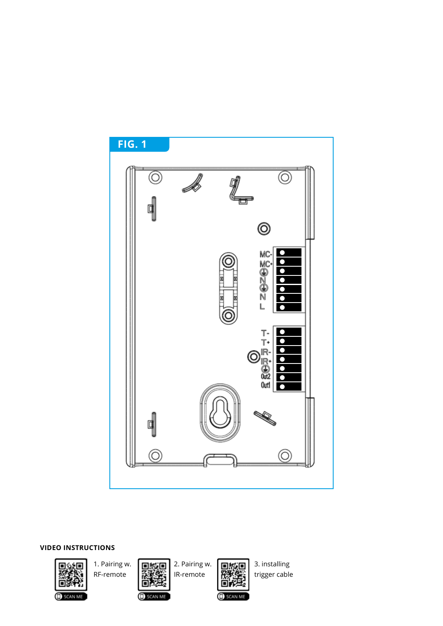

# **VIDEO INSTRUCTIONS**





Φ

1. Pairing w. **Digital** 2. Pairing w. **Digital** 3. installing<br>Net-remote **1. 2. Pairing w. Report** trigger cable RF-remote  $\left|\frac{1}{\mathbf{R}\mathbf{B}}\right|$  IR-remote  $\left|\frac{1}{\mathbf{R}\mathbf{B}}\right|$  trigger cable

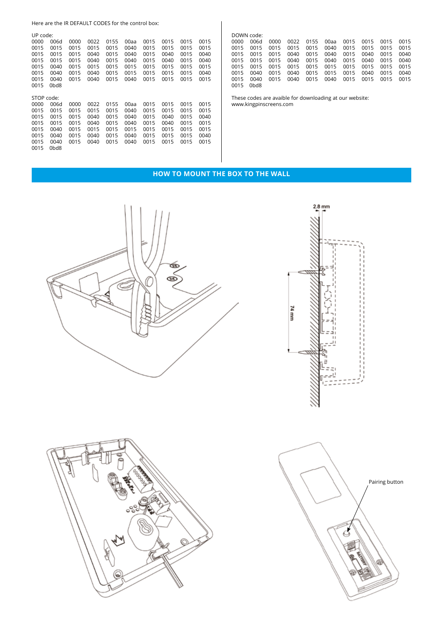Here are the IR DEFAULT CODES for the control box:

| UP code:   |                   |      |      |      |      |      |      |      |      |
|------------|-------------------|------|------|------|------|------|------|------|------|
| 0000       | 006d              | 0000 | 0022 | 0155 | 00aa | 0015 | 0015 | 0015 | 0015 |
| 0015       | 0015              | 0015 | 0015 | 0015 | 0040 | 0015 | 0015 | 0015 | 0015 |
| 0015       | 0015              | 0015 | 0040 | 0015 | 0040 | 0015 | 0040 | 0015 | 0040 |
| 0015       | 0015              | 0015 | 0040 | 0015 | 0040 | 0015 | 0040 | 0015 | 0040 |
| 0015       | 0040              | 0015 | 0015 | 0015 | 0015 | 0015 | 0015 | 0015 | 0015 |
| 0015       | 0040              | 0015 | 0040 | 0015 | 0015 | 0015 | 0015 | 0015 | 0040 |
| 0015       | 0040              | 0015 | 0040 | 0015 | 0040 | 0015 | 0015 | 0015 | 0015 |
| 0015       | 0 <sub>bd</sub> 8 |      |      |      |      |      |      |      |      |
|            |                   |      |      |      |      |      |      |      |      |
| STOP code: |                   |      |      |      |      |      |      |      |      |
| 0000       | 006d              | 0000 | 0022 | 0155 | 00aa | 0015 | 0015 | 0015 | 0015 |
| 0015       | 0015              | 0015 | 0015 | 0015 |      |      |      |      |      |
| 0015       |                   |      |      |      | 0040 | 0015 | 0015 | 0015 | 0015 |
|            | 0015              | 0015 | 0040 | 0015 | 0040 | 0015 | 0040 | 0015 | 0040 |
| 0015       | 0015              | 0015 | 0040 | 0015 | 0040 | 0015 | 0040 | 0015 | 0015 |
| 0015       | 0040              | 0015 | 0015 | 0015 | 0015 | 0015 | 0015 | 0015 | 0015 |
| 0015       | 0040              | 0015 | 0040 | 0015 | 0040 | 0015 | 0015 | 0015 | 0040 |
| 0015       | 0040              | 0015 | 0040 | 0015 | 0040 | 0015 | 0015 | 0015 | 0015 |

|      | DOWN code:        |      |      |      |      |      |      |      |      |
|------|-------------------|------|------|------|------|------|------|------|------|
| 0000 | 006d              | 0000 | 0022 | 0155 | 00aa | 0015 | 0015 | 0015 | 0015 |
| 0015 | 0015              | 0015 | 0015 | 0015 | 0040 | 0015 | 0015 | 0015 | 0015 |
| 0015 | 0015              | 0015 | 0040 | 0015 | 0040 | 0015 | 0040 | 0015 | 0040 |
| 0015 | 0015              | 0015 | 0040 | 0015 | 0040 | 0015 | 0040 | 0015 | 0040 |
| 0015 | 0015              | 0015 | 0015 | 0015 | 0015 | 0015 | 0015 | 0015 | 0015 |
| 0015 | 0040              | 0015 | 0040 | 0015 | 0015 | 0015 | 0040 | 0015 | 0040 |
| 0015 | 0040              | 0015 | 0040 | 0015 | 0040 | 0015 | 0015 | 0015 | 0015 |
| 0015 | 8 <sub>bd</sub> 8 |      |      |      |      |      |      |      |      |

 $2.8$  mm

These codes are avaible for downloading at our website: www.kingpinscreens.com

# **HOW TO MOUNT THE BOX TO THE WALL**